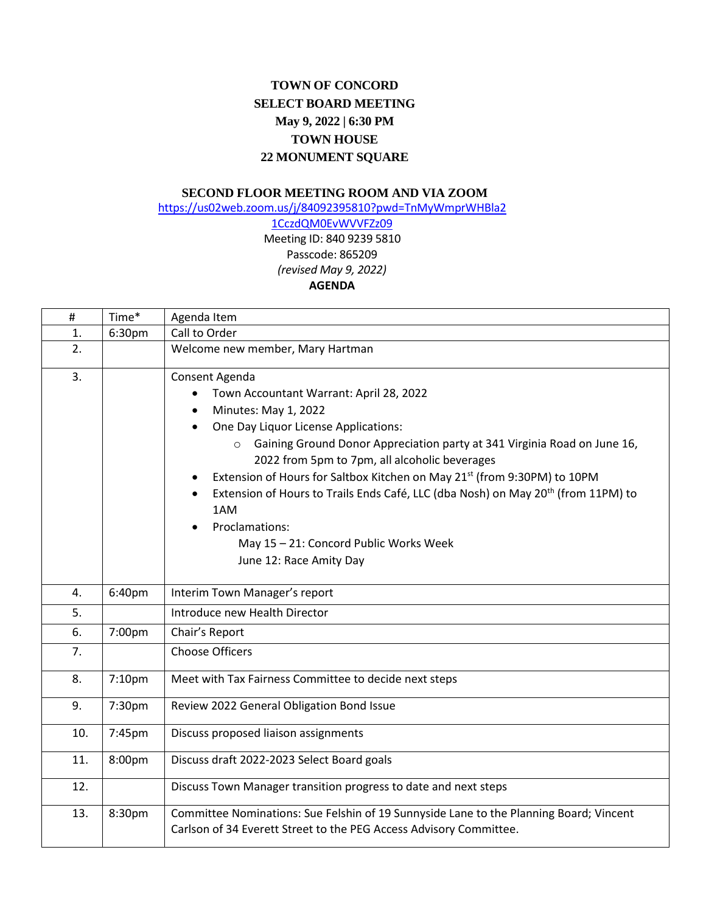## **TOWN OF CONCORD SELECT BOARD MEETING May 9, 2022 | 6:30 PM TOWN HOUSE 22 MONUMENT SQUARE**

## **SECOND FLOOR MEETING ROOM AND VIA ZOOM**

[https://us02web.zoom.us/j/84092395810?pwd=TnMyWmprWHBla2](https://us02web.zoom.us/j/84092395810?pwd=TnMyWmprWHBla21CczdQM0EvWVVFZz09)

## [1CczdQM0EvWVVFZz09](https://us02web.zoom.us/j/84092395810?pwd=TnMyWmprWHBla21CczdQM0EvWVVFZz09) Meeting ID: 840 9239 5810 Passcode: 865209 *(revised May 9, 2022)* **AGENDA**

| #   | Time*  | Agenda Item                                                                                                                                                                                                                                                                                                                                                                                                                                                                                                                                                                            |
|-----|--------|----------------------------------------------------------------------------------------------------------------------------------------------------------------------------------------------------------------------------------------------------------------------------------------------------------------------------------------------------------------------------------------------------------------------------------------------------------------------------------------------------------------------------------------------------------------------------------------|
| 1.  | 6:30pm | Call to Order                                                                                                                                                                                                                                                                                                                                                                                                                                                                                                                                                                          |
| 2.  |        | Welcome new member, Mary Hartman                                                                                                                                                                                                                                                                                                                                                                                                                                                                                                                                                       |
| 3.  |        | Consent Agenda<br>Town Accountant Warrant: April 28, 2022<br>$\bullet$<br>Minutes: May 1, 2022<br>$\bullet$<br>One Day Liquor License Applications:<br>$\bullet$<br>o Gaining Ground Donor Appreciation party at 341 Virginia Road on June 16,<br>2022 from 5pm to 7pm, all alcoholic beverages<br>Extension of Hours for Saltbox Kitchen on May 21 <sup>st</sup> (from 9:30PM) to 10PM<br>Extension of Hours to Trails Ends Café, LLC (dba Nosh) on May 20 <sup>th</sup> (from 11PM) to<br>1AM<br>Proclamations:<br>May 15 - 21: Concord Public Works Week<br>June 12: Race Amity Day |
| 4.  | 6:40pm | Interim Town Manager's report                                                                                                                                                                                                                                                                                                                                                                                                                                                                                                                                                          |
| 5.  |        | Introduce new Health Director                                                                                                                                                                                                                                                                                                                                                                                                                                                                                                                                                          |
| 6.  | 7:00pm | Chair's Report                                                                                                                                                                                                                                                                                                                                                                                                                                                                                                                                                                         |
| 7.  |        | <b>Choose Officers</b>                                                                                                                                                                                                                                                                                                                                                                                                                                                                                                                                                                 |
| 8.  | 7:10pm | Meet with Tax Fairness Committee to decide next steps                                                                                                                                                                                                                                                                                                                                                                                                                                                                                                                                  |
| 9.  | 7:30pm | Review 2022 General Obligation Bond Issue                                                                                                                                                                                                                                                                                                                                                                                                                                                                                                                                              |
| 10. | 7:45pm | Discuss proposed liaison assignments                                                                                                                                                                                                                                                                                                                                                                                                                                                                                                                                                   |
| 11. | 8:00pm | Discuss draft 2022-2023 Select Board goals                                                                                                                                                                                                                                                                                                                                                                                                                                                                                                                                             |
| 12. |        | Discuss Town Manager transition progress to date and next steps                                                                                                                                                                                                                                                                                                                                                                                                                                                                                                                        |
| 13. | 8:30pm | Committee Nominations: Sue Felshin of 19 Sunnyside Lane to the Planning Board; Vincent<br>Carlson of 34 Everett Street to the PEG Access Advisory Committee.                                                                                                                                                                                                                                                                                                                                                                                                                           |